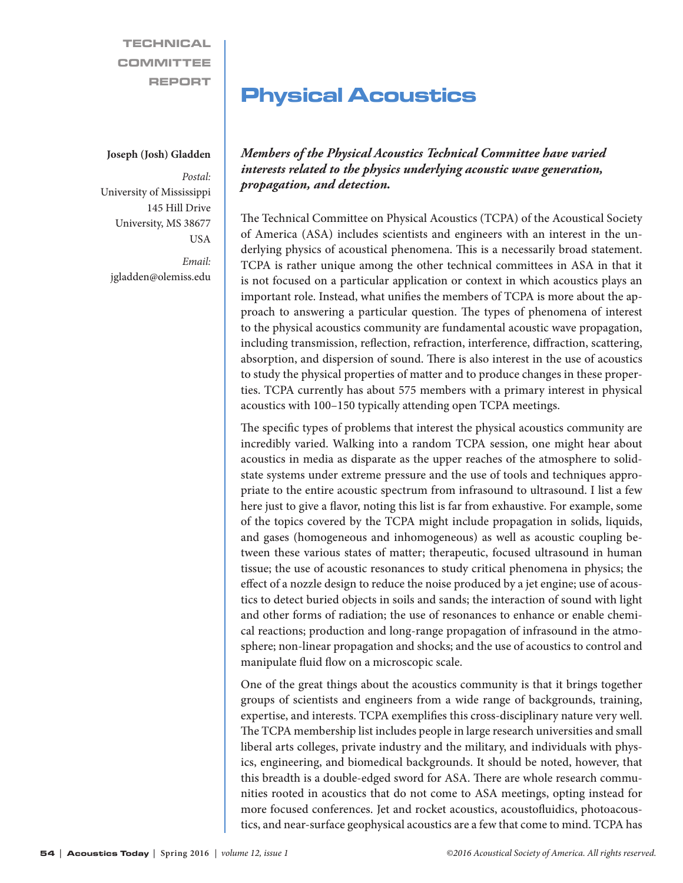**TECHNICAL** COMMITTEE REPORT

#### **Joseph (Josh) Gladden**

*Postal:* University of Mississippi 145 Hill Drive University, MS 38677 USA

*Email:* jgladden@olemiss.edu

# Physical Acoustics

*Members of the Physical Acoustics Technical Committee have varied interests related to the physics underlying acoustic wave generation, propagation, and detection.*

The Technical Committee on Physical Acoustics (TCPA) of the Acoustical Society of America (ASA) includes scientists and engineers with an interest in the underlying physics of acoustical phenomena. This is a necessarily broad statement. TCPA is rather unique among the other technical committees in ASA in that it is not focused on a particular application or context in which acoustics plays an important role. Instead, what unifies the members of TCPA is more about the approach to answering a particular question. The types of phenomena of interest to the physical acoustics community are fundamental acoustic wave propagation, including transmission, reflection, refraction, interference, diffraction, scattering, absorption, and dispersion of sound. There is also interest in the use of acoustics to study the physical properties of matter and to produce changes in these properties. TCPA currently has about 575 members with a primary interest in physical acoustics with 100–150 typically attending open TCPA meetings.

The specific types of problems that interest the physical acoustics community are incredibly varied. Walking into a random TCPA session, one might hear about acoustics in media as disparate as the upper reaches of the atmosphere to solidstate systems under extreme pressure and the use of tools and techniques appropriate to the entire acoustic spectrum from infrasound to ultrasound. I list a few here just to give a flavor, noting this list is far from exhaustive. For example, some of the topics covered by the TCPA might include propagation in solids, liquids, and gases (homogeneous and inhomogeneous) as well as acoustic coupling between these various states of matter; therapeutic, focused ultrasound in human tissue; the use of acoustic resonances to study critical phenomena in physics; the effect of a nozzle design to reduce the noise produced by a jet engine; use of acoustics to detect buried objects in soils and sands; the interaction of sound with light and other forms of radiation; the use of resonances to enhance or enable chemical reactions; production and long-range propagation of infrasound in the atmosphere; non-linear propagation and shocks; and the use of acoustics to control and manipulate fluid flow on a microscopic scale.

One of the great things about the acoustics community is that it brings together groups of scientists and engineers from a wide range of backgrounds, training, expertise, and interests. TCPA exemplifies this cross-disciplinary nature very well. The TCPA membership list includes people in large research universities and small liberal arts colleges, private industry and the military, and individuals with physics, engineering, and biomedical backgrounds. It should be noted, however, that this breadth is a double-edged sword for ASA. There are whole research communities rooted in acoustics that do not come to ASA meetings, opting instead for more focused conferences. Jet and rocket acoustics, acoustofluidics, photoacoustics, and near-surface geophysical acoustics are a few that come to mind. TCPA has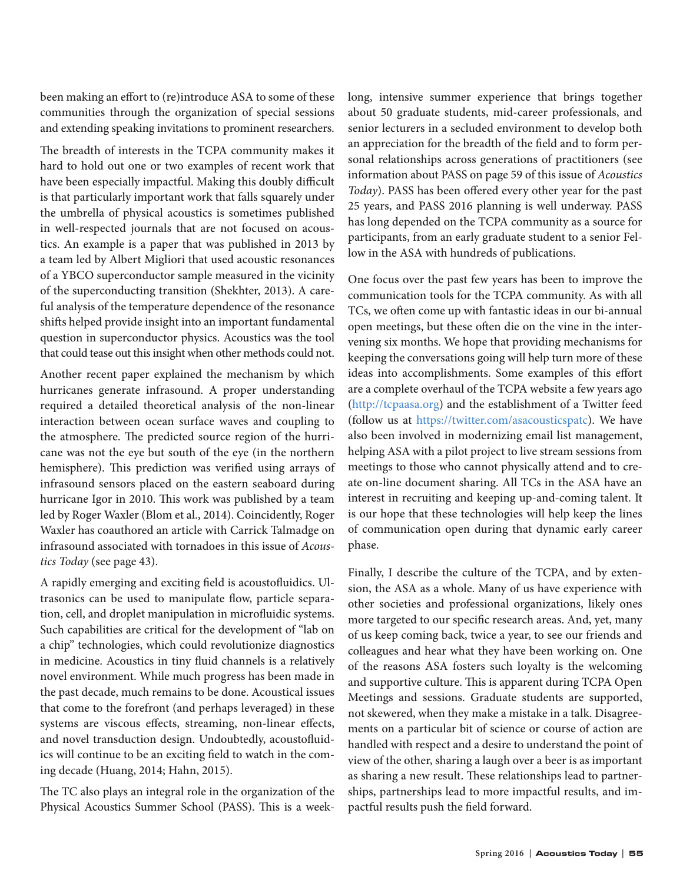been making an effort to (re)introduce ASA to some of these communities through the organization of special sessions and extending speaking invitations to prominent researchers.

The breadth of interests in the TCPA community makes it hard to hold out one or two examples of recent work that have been especially impactful. Making this doubly difficult is that particularly important work that falls squarely under the umbrella of physical acoustics is sometimes published in well-respected journals that are not focused on acoustics. An example is a paper that was published in 2013 by a team led by Albert Migliori that used acoustic resonances of a YBCO superconductor sample measured in the vicinity of the superconducting transition (Shekhter, 2013). A careful analysis of the temperature dependence of the resonance shifts helped provide insight into an important fundamental question in superconductor physics. Acoustics was the tool that could tease out this insight when other methods could not.

Another recent paper explained the mechanism by which hurricanes generate infrasound. A proper understanding required a detailed theoretical analysis of the non-linear interaction between ocean surface waves and coupling to the atmosphere. The predicted source region of the hurricane was not the eye but south of the eye (in the northern hemisphere). This prediction was verified using arrays of infrasound sensors placed on the eastern seaboard during hurricane Igor in 2010. This work was published by a team led by Roger Waxler (Blom et al., 2014). Coincidently, Roger Waxler has coauthored an article with Carrick Talmadge on infrasound associated with tornadoes in this issue of *Acoustics Today* (see page 43).

A rapidly emerging and exciting field is acoustofluidics. Ultrasonics can be used to manipulate flow, particle separation, cell, and droplet manipulation in microfluidic systems. Such capabilities are critical for the development of "lab on a chip" technologies, which could revolutionize diagnostics in medicine. Acoustics in tiny fluid channels is a relatively novel environment. While much progress has been made in the past decade, much remains to be done. Acoustical issues that come to the forefront (and perhaps leveraged) in these systems are viscous effects, streaming, non-linear effects, and novel transduction design. Undoubtedly, acoustofluidics will continue to be an exciting field to watch in the coming decade (Huang, 2014; Hahn, 2015).

The TC also plays an integral role in the organization of the Physical Acoustics Summer School (PASS). This is a weeklong, intensive summer experience that brings together about 50 graduate students, mid-career professionals, and senior lecturers in a secluded environment to develop both an appreciation for the breadth of the field and to form personal relationships across generations of practitioners (see information about PASS on page 59 of this issue of *Acoustics Today*). PASS has been offered every other year for the past 25 years, and PASS 2016 planning is well underway. PASS has long depended on the TCPA community as a source for participants, from an early graduate student to a senior Fellow in the ASA with hundreds of publications.

One focus over the past few years has been to improve the communication tools for the TCPA community. As with all TCs, we often come up with fantastic ideas in our bi-annual open meetings, but these often die on the vine in the intervening six months. We hope that providing mechanisms for keeping the conversations going will help turn more of these ideas into accomplishments. Some examples of this effort are a complete overhaul of the TCPA website a few years ago (http://tcpaasa.org) and the establishment of a Twitter feed (follow us at https://twitter.com/asacousticspatc). We have also been involved in modernizing email list management, helping ASA with a pilot project to live stream sessions from meetings to those who cannot physically attend and to create on-line document sharing. All TCs in the ASA have an interest in recruiting and keeping up-and-coming talent. It is our hope that these technologies will help keep the lines of communication open during that dynamic early career phase.

Finally, I describe the culture of the TCPA, and by extension, the ASA as a whole. Many of us have experience with other societies and professional organizations, likely ones more targeted to our specific research areas. And, yet, many of us keep coming back, twice a year, to see our friends and colleagues and hear what they have been working on. One of the reasons ASA fosters such loyalty is the welcoming and supportive culture. This is apparent during TCPA Open Meetings and sessions. Graduate students are supported, not skewered, when they make a mistake in a talk. Disagreements on a particular bit of science or course of action are handled with respect and a desire to understand the point of view of the other, sharing a laugh over a beer is as important as sharing a new result. These relationships lead to partnerships, partnerships lead to more impactful results, and impactful results push the field forward.